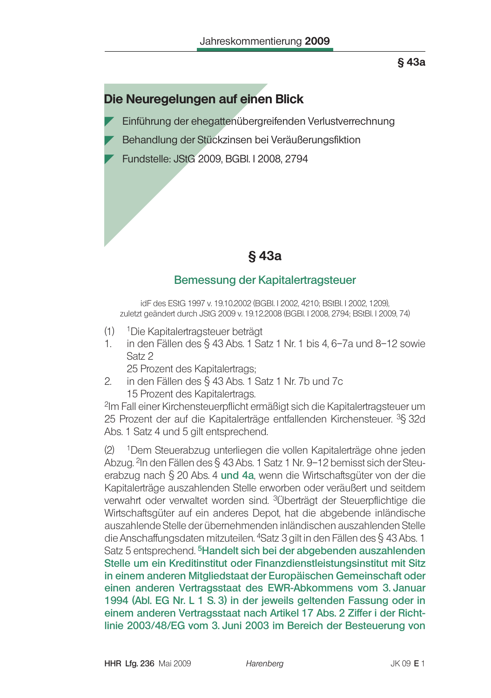# Die Neuregelungen auf einen Blick

- Einführung der ehegattenübergreifenden Verlustverrechnung
- Behandlung der Stückzinsen bei Veräußerungsfiktion
- Fundstelle: JStG 2009, BGBI. I 2008, 2794

# §43a

## Bemessung der Kapitalertragsteuer

idF des EStG 1997 v. 19.10.2002 (BGBI 12002, 4210; BStBI 12002, 1209), zuletzt geändert durch JStG 2009 v. 19.12.2008 (BGBI. I 2008, 2794; BStBI. I 2009, 74)

- (1) <sup>1</sup> Die Kapitalertragsteuer beträgt
- $1<sup>1</sup>$ in den Fällen des  $\S$  43 Abs. 1 Satz 1 Nr. 1 bis 4, 6-7a und 8-12 sowie Satz 2
	- 25 Prozent des Kapitalertrags;
- $2<sub>1</sub>$ in den Fällen des § 43 Abs. 1 Satz 1 Nr. 7b und 7c 15 Prozent des Kapitalertrags.

<sup>2</sup>Im Fall einer Kirchensteuerpflicht ermäßigt sich die Kapitalertragsteuer um 25 Prozent der auf die Kapitalerträge entfallenden Kirchensteuer. <sup>3</sup>§ 32d Abs. 1 Satz 4 und 5 gilt entsprechend.

 $(2)$ <sup>1</sup>Dem Steuerabzug unterliegen die vollen Kapitalerträge ohne jeden Abzug. <sup>2</sup>In den Fällen des § 43 Abs. 1 Satz 1 Nr. 9-12 bemisst sich der Steuerabzug nach § 20 Abs. 4 und 4a, wenn die Wirtschaftsgüter von der die Kapitalerträge auszahlenden Stelle erworben oder veräußert und seitdem verwahrt oder verwaltet worden sind. <sup>3</sup>Überträgt der Steuerpflichtige die Wirtschaftsqüter auf ein anderes Depot, hat die abgebende inländische auszahlende Stelle der übernehmenden inländischen auszahlenden Stelle die Anschaffungsdaten mitzuteilen. <sup>4</sup>Satz 3 gilt in den Fällen des § 43 Abs. 1 Satz 5 entsprechend. <sup>5</sup>Handelt sich bei der abgebenden auszahlenden Stelle um ein Kreditinstitut oder Finanzdienstleistungsinstitut mit Sitz in einem anderen Mitgliedstaat der Europäischen Gemeinschaft oder einen anderen Vertragsstaat des EWR-Abkommens vom 3. Januar 1994 (Abl. EG Nr. L 1 S. 3) in der jeweils geltenden Fassung oder in einem anderen Vertragsstaat nach Artikel 17 Abs. 2 Ziffer i der Richtlinie 2003/48/EG vom 3. Juni 2003 im Bereich der Besteuerung von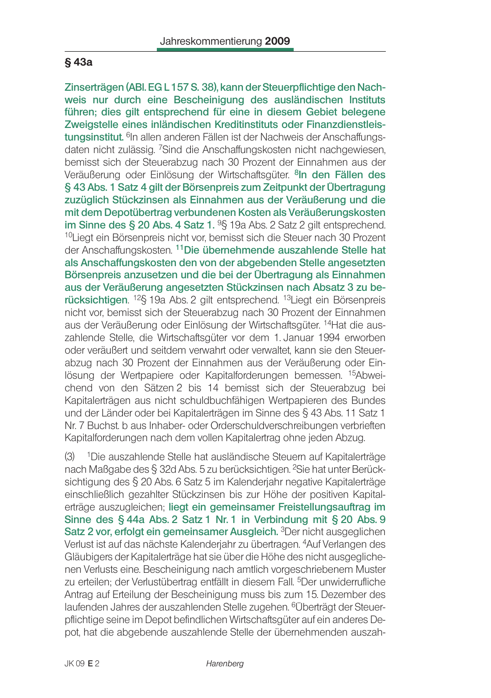Zinserträgen (ABI. EG L 157 S. 38), kann der Steuerpflichtige den Nachweis nur durch eine Bescheinigung des ausländischen Instituts führen: dies gilt entsprechend für eine in diesem Gebiet belegene Zweigstelle eines inländischen Kreditinstituts oder Finanzdienstleistungsinstitut. <sup>6</sup>In allen anderen Fällen ist der Nachweis der Anschaffungsdaten nicht zulässig. 7Sind die Anschaffungskosten nicht nachgewiesen, bemisst sich der Steuerabzug nach 30 Prozent der Einnahmen aus der Veräußerung oder Einlösung der Wirtschaftsgüter. <sup>8</sup>In den Fällen des § 43 Abs. 1 Satz 4 gilt der Börsenpreis zum Zeitpunkt der Übertragung zuzüglich Stückzinsen als Einnahmen aus der Veräußerung und die mit dem Depotübertrag verbundenen Kosten als Veräußerungskosten im Sinne des § 20 Abs. 4 Satz  $1.95$  19a Abs. 2 Satz 2 gilt entsprechend. <sup>10</sup>Liegt ein Börsenpreis nicht vor, bemisst sich die Steuer nach 30 Prozent der Anschaffungskosten. 11Die übernehmende auszahlende Stelle hat als Anschaffungskosten den von der abgebenden Stelle angesetzten Börsenpreis anzusetzen und die bei der Übertragung als Einnahmen aus der Veräußerung angesetzten Stückzinsen nach Absatz 3 zu berücksichtigen. <sup>12</sup>§ 19a Abs. 2 gilt entsprechend. <sup>13</sup>Liegt ein Börsenpreis nicht vor, bemisst sich der Steuerabzug nach 30 Prozent der Einnahmen aus der Veräußerung oder Einlösung der Wirtschaftsgüter. <sup>14</sup>Hat die auszahlende Stelle, die Wirtschaftsgüter vor dem 1. Januar 1994 erworben oder veräußert und seitdem verwahrt oder verwaltet, kann sie den Steuerabzug nach 30 Prozent der Einnahmen aus der Veräußerung oder Einlösung der Wertpapiere oder Kapitalforderungen bemessen. <sup>15</sup>Abweichend von den Sätzen 2 bis 14 bemisst sich der Steuerabzug bei Kapitalerträgen aus nicht schuldbuchfähigen Wertpapieren des Bundes und der Länder oder bei Kapitalerträgen im Sinne des § 43 Abs. 11 Satz 1 Nr. 7 Buchst, b aus Inhaber- oder Orderschuldverschreibungen verbrieften Kapitalforderungen nach dem vollen Kapitalertrag ohne jeden Abzug.

<sup>1</sup>Die auszahlende Stelle hat ausländische Steuern auf Kapitalerträge  $(3)$ nach Maßgabe des § 32d Abs. 5 zu berücksichtigen. <sup>2</sup>Sie hat unter Berücksichtigung des § 20 Abs. 6 Satz 5 im Kalenderjahr negative Kapitalerträge einschließlich gezahlter Stückzinsen bis zur Höhe der positiven Kapitalerträge auszugleichen; liegt ein gemeinsamer Freistellungsauftrag im Sinne des § 44a Abs. 2 Satz 1 Nr. 1 in Verbindung mit § 20 Abs. 9 Satz 2 vor, erfolgt ein gemeinsamer Ausgleich. <sup>3</sup>Der nicht ausgeglichen Verlust ist auf das nächste Kalenderjahr zu übertragen. <sup>4</sup>Auf Verlangen des Gläubigers der Kapitalerträge hat sie über die Höhe des nicht ausgeglichenen Verlusts eine. Bescheinigung nach amtlich vorgeschriebenem Muster zu erteilen; der Verlustübertrag entfällt in diesem Fall. <sup>5</sup>Der unwiderrufliche Antrag auf Erteilung der Bescheinigung muss bis zum 15. Dezember des laufenden Jahres der auszahlenden Stelle zugehen. <sup>6</sup>Überträgt der Steuerpflichtige seine im Depot befindlichen Wirtschaftsgüter auf ein anderes Depot, hat die abgebende auszahlende Stelle der übernehmenden auszah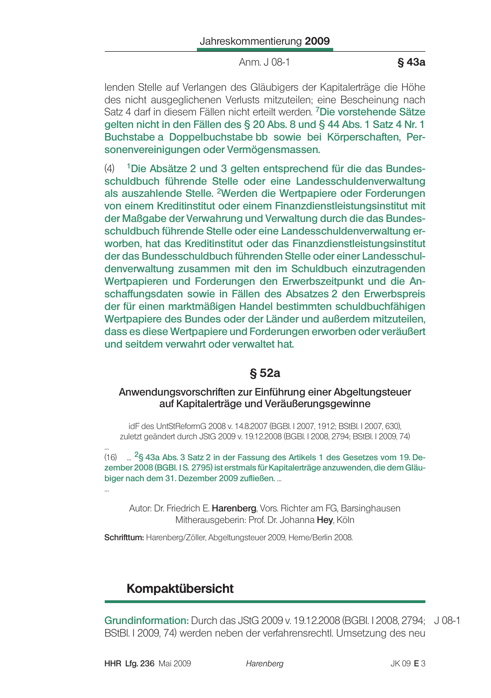Anm. J 08-1

lenden Stelle auf Verlangen des Gläubigers der Kapitalerträge die Höhe des nicht ausgeglichenen Verlusts mitzuteilen: eine Bescheinung nach Satz 4 darf in diesem Fällen nicht erteilt werden. <sup>7</sup>Die vorstehende Sätze gelten nicht in den Fällen des § 20 Abs. 8 und § 44 Abs. 1 Satz 4 Nr. 1 Buchstabe a Doppelbuchstabe bb sowie bei Körperschaften, Personenvereinigungen oder Vermögensmassen.

 $(4)$ <sup>1</sup>Die Absätze 2 und 3 gelten entsprechend für die das Bundesschuldbuch führende Stelle oder eine Landesschuldenverwaltung als auszahlende Stelle. <sup>2</sup>Werden die Wertpapiere oder Forderungen von einem Kreditinstitut oder einem Finanzdienstleistungsinstitut mit der Maßgabe der Verwahrung und Verwaltung durch die das Bundesschuldbuch führende Stelle oder eine Landesschuldenverwaltung erworben, hat das Kreditinstitut oder das Finanzdienstleistungsinstitut der das Bundesschuldbuch führenden Stelle oder einer Landesschuldenverwaltung zusammen mit den im Schuldbuch einzutragenden Wertpapieren und Forderungen den Erwerbszeitpunkt und die Anschaffungsdaten sowie in Fällen des Absatzes 2 den Erwerbspreis der für einen marktmäßigen Handel bestimmten schuldbuchfähigen Wertpapiere des Bundes oder der Länder und außerdem mitzuteilen, dass es diese Wertpapiere und Forderungen erworben oder veräußert und seitdem verwahrt oder verwaltet hat.

## § 52a

#### Anwendungsvorschriften zur Einführung einer Abgeltungsteuer auf Kapitalerträge und Veräußerungsgewinne

idF des UntStReformG 2008 v. 14.8.2007 (BGBI, I 2007, 1912; BStBI, I 2007, 630). zuletzt geändert durch JStG 2009 v. 19.12.2008 (BGBI. I 2008, 2794; BStBI. I 2009, 74)

... <sup>2</sup>§ 43a Abs. 3 Satz 2 in der Fassung des Artikels 1 des Gesetzes vom 19. De- $(16)$ zember 2008 (BGBI. IS. 2795) ist erstmals für Kapitalerträge anzuwenden, die dem Gläubiger nach dem 31. Dezember 2009 zufließen. ...

Autor: Dr. Friedrich E. Harenberg, Vors. Richter am FG, Barsinghausen Mitherausgeberin: Prof. Dr. Johanna Hey, Köln

Schrifttum: Harenberg/Zöller, Abgeltungsteuer 2009, Herne/Berlin 2008.

# **Kompaktübersicht**

Grundinformation: Durch das JStG 2009 v. 19.12.2008 (BGBI, I 2008, 2794; J 08-1 BStBI. I 2009, 74) werden neben der verfahrensrechtl. Umsetzung des neu

Harenberg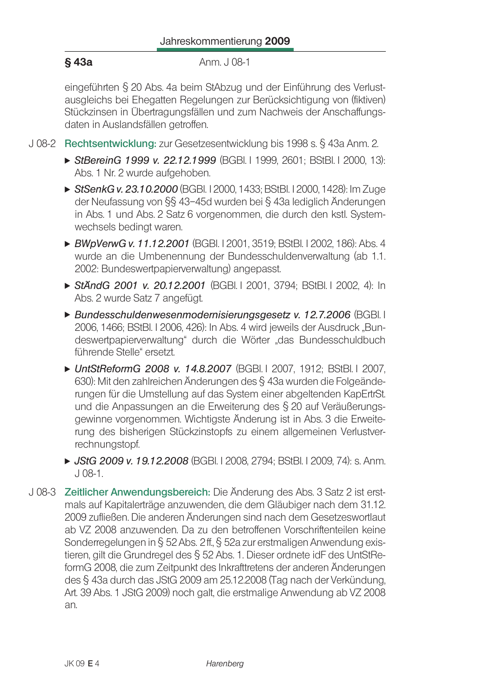Anm. J 08-1

eingeführten § 20 Abs. 4a beim StAbzug und der Einführung des Verlustausgleichs bei Ehegatten Regelungen zur Berücksichtigung von (fiktiven) Stückzinsen in Übertragungsfällen und zum Nachweis der Anschaffungsdaten in Auslandsfällen getroffen.

- J 08-2 Rechtsentwicklung: zur Gesetzesentwicklung bis 1998 s. § 43a Anm. 2.
	- ▶ StBereinG 1999 v. 22.12.1999 (BGBI. I 1999, 2601; BStBI. I 2000, 13): Abs. 1 Nr. 2 wurde aufgehoben.
	- StSenkG v. 23.10.2000 (BGBI. 12000, 1433; BStBI. 12000, 1428): Im Zuge der Neufassung von §§ 43-45d wurden bei § 43a lediglich Änderungen in Abs. 1 und Abs. 2 Satz 6 vorgenommen, die durch den kstl. Systemwechsels bedingt waren.
	- ► BWoVerwG v. 11.12.2001 (BGBI, 12001, 3519; BStBI, 12002, 186); Abs. 4 wurde an die Umbenennung der Bundesschuldenverwaltung (ab 1.1. 2002: Bundeswertpapierverwaltung) angepasst.
	- StändG 2001 v. 20.12.2001 (BGBI 1 2001, 3794; BStBI 1 2002, 4): In Abs. 2 wurde Satz 7 angefügt.
	- ▶ Bundesschuldenwesenmodernisierungsgesetz v. 12.7.2006 (BGBI. I 2006, 1466; BStBl, I 2006, 426); In Abs, 4 wird jeweils der Ausdruck "Bundeswertpapierverwaltung" durch die Wörter "das Bundesschuldbuch führende Stelle" ersetzt.
	- UntStReformG 2008 v. 14.8.2007 (BGBI. I 2007, 1912; BStBI. I 2007, 630): Mit den zahlreichen Änderungen des § 43a wurden die Folgeänderungen für die Umstellung auf das System einer abgeltenden KapErtrSt. und die Anpassungen an die Erweiterung des § 20 auf Veräußerungsgewinne vorgenommen. Wichtigste Änderung ist in Abs. 3 die Erweiterung des bisherigen Stückzinstopfs zu einem allgemeinen Verlustverrechnungstopf.
	- ► JStG 2009 v. 19.12.2008 (BGBI. I 2008, 2794; BStBI. I 2009, 74): s. Anm.  $J$  08-1.
- J 08-3 Zeitlicher Anwendungsbereich: Die Änderung des Abs. 3 Satz 2 ist erstmals auf Kapitalerträge anzuwenden, die dem Gläubiger nach dem 31.12. 2009 zufließen. Die anderen Änderungen sind nach dem Gesetzeswortlaut ab VZ 2008 anzuwenden. Da zu den betroffenen Vorschriftenteilen keine Sonderregelungen in § 52 Abs. 2ff., § 52a zur erstmaligen Anwendung existieren, gilt die Grundregel des § 52 Abs. 1. Dieser ordnete idF des UntStReformG 2008, die zum Zeitpunkt des Inkrafttretens der anderen Änderungen des § 43a durch das JStG 2009 am 25.12.2008 (Tag nach der Verkündung, Art. 39 Abs. 1 JStG 2009) noch galt, die erstmalige Anwendung ab VZ 2008. an.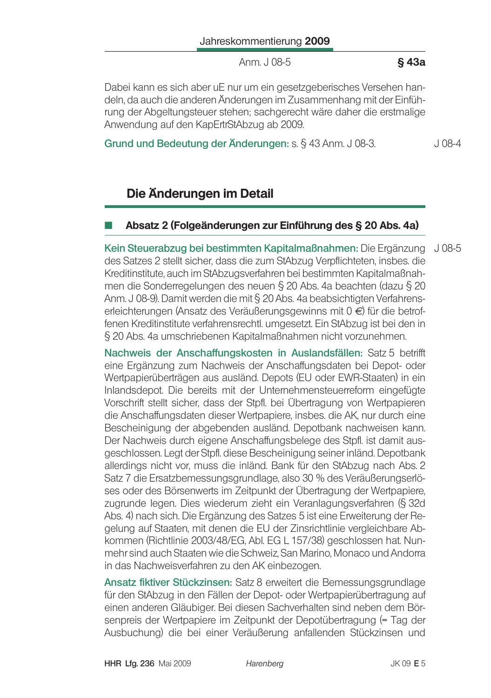Anm. J 08-5

#### §43a

Dabei kann es sich aber uE nur um ein gesetzgeberisches Versehen handeln. da auch die anderen Änderungen im Zusammenhang mit der Einführung der Abgeltungsteuer stehen; sachgerecht wäre daher die erstmalige Anwendung auf den KapErtrStAbzug ab 2009.

#### Grund und Bedeutung der Änderungen: s. § 43 Anm. J 08-3.

 $J$  08-4

# Die Änderungen im Detail

### Absatz 2 (Folgeänderungen zur Einführung des § 20 Abs. 4a)

Kein Steuerabzug bei bestimmten Kapitalmaßnahmen: Die Ergänzung J 08-5 des Satzes 2 stellt sicher, dass die zum StAbzug Verpflichteten, insbes. die Kreditinstitute, auch im StAbzugsverfahren bei bestimmten Kapitalmaßnahmen die Sonderregelungen des neuen § 20 Abs. 4a beachten (dazu § 20 Anm. J 08-9). Damit werden die mit § 20 Abs. 4a beabsichtigten Verfahrenserleichterungen (Ansatz des Veräußerungsgewinns mit 0 €) für die betroffenen Kreditinstitute verfahrensrechtl. umgesetzt. Ein StAbzug ist bei den in § 20 Abs. 4a umschriebenen Kapitalmaßnahmen nicht vorzunehmen.

Nachweis der Anschaffungskosten in Auslandsfällen: Satz 5 betrifft eine Ergänzung zum Nachweis der Anschaffungsdaten bei Depot- oder Wertpapierüberträgen aus ausländ. Depots (EU oder EWR-Staaten) in ein Inlandsdepot. Die bereits mit der Unternehmensteuerreform eingefügte Vorschrift stellt sicher, dass der Stpfl. bei Übertragung von Wertpapieren die Anschaffungsdaten dieser Wertpapiere, insbes. die AK, nur durch eine Bescheinigung der abgebenden ausländ. Depotbank nachweisen kann. Der Nachweis durch eigene Anschaffungsbelege des Stpfl. ist damit ausgeschlossen. Legt der Stpfl. diese Bescheinigung seiner inländ. Depotbank allerdings nicht vor, muss die inländ. Bank für den StAbzug nach Abs. 2 Satz 7 die Ersatzbemessungsgrundlage, also 30 % des Veräußerungserlöses oder des Börsenwerts im Zeitpunkt der Übertragung der Wertpapiere, zugrunde legen. Dies wiederum zieht ein Veranlagungsverfahren (§ 32d Abs. 4) nach sich. Die Ergänzung des Satzes 5 ist eine Erweiterung der Regelung auf Staaten, mit denen die EU der Zinsrichtlinie vergleichbare Abkommen (Richtlinie 2003/48/EG, Abl. EG L 157/38) geschlossen hat. Nunmehr sind auch Staaten wie die Schweiz, San Marino, Monaco und Andorra in das Nachweisverfahren zu den AK einbezogen.

Ansatz fiktiver Stückzinsen: Satz 8 erweitert die Bemessungsgrundlage für den StAbzug in den Fällen der Depot- oder Wertpapierübertragung auf einen anderen Gläubiger. Bei diesen Sachverhalten sind neben dem Börsenpreis der Wertpapiere im Zeitpunkt der Depotübertragung (= Tag der Ausbuchung) die bei einer Veräußerung anfallenden Stückzinsen und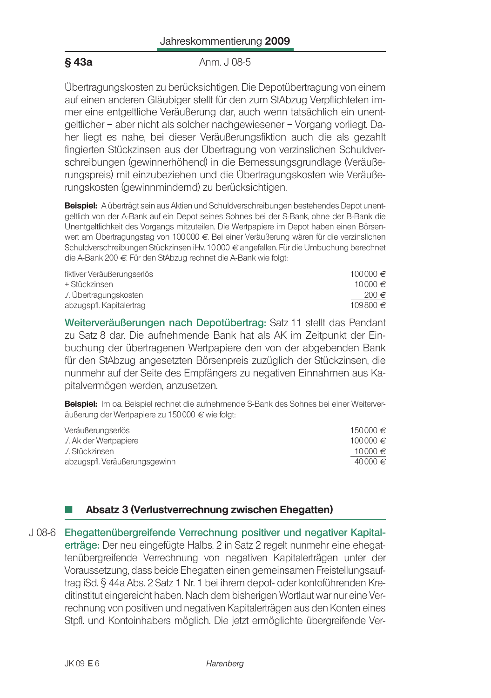Anm. J 08-5

Übertragungskosten zu berücksichtigen. Die Depotübertragung von einem auf einen anderen Gläubiger stellt für den zum StAbzug Verpflichteten immer eine entgeltliche Veräußerung dar, auch wenn tatsächlich ein unentgeltlicher – aber nicht als solcher nachgewiesener – Vorgang vorliegt. Daher liegt es nahe, bei dieser Veräußerungsfiktion auch die als gezahlt fingierten Stückzinsen aus der Übertragung von verzinslichen Schuldverschreibungen (gewinnerhöhend) in die Bemessungsgrundlage (Veräußerungspreis) mit einzubeziehen und die Übertragungskosten wie Veräußerungskosten (gewinnmindernd) zu berücksichtigen.

Beispiel: A überträgt sein aus Aktien und Schuldverschreibungen bestehendes Depot unentgeltlich von der A-Bank auf ein Depot seines Sohnes bei der S-Bank, ohne der B-Bank die Unentgeltlichkeit des Vorgangs mitzuteilen. Die Wertpapiere im Depot haben einen Börsenwert am Übertragungstag von 100 000 €. Bei einer Veräußerung wären für die verzinslichen Schuldverschreibungen Stückzinsen iHv. 10000 € angefallen. Für die Umbuchung berechnet die A-Bank 200 €. Für den StAbzug rechnet die A-Bank wie folgt:

| fiktiver Veräußerungserlös | 100000€   |
|----------------------------|-----------|
| + Stückzinsen              | 10000€    |
| ./. Übertragungskosten     | 200 $\in$ |
| abzugspfl. Kapitalertrag   | 109800€   |

Weiterveräußerungen nach Depotübertrag: Satz 11 stellt das Pendant zu Satz 8 dar. Die aufnehmende Bank hat als AK im Zeitpunkt der Einbuchung der übertragenen Wertpapiere den von der abgebenden Bank für den StAbzug angesetzten Börsenpreis zuzüglich der Stückzinsen, die nunmehr auf der Seite des Empfängers zu negativen Einnahmen aus Kapitalvermögen werden, anzusetzen.

Beispiel: Im oa. Beispiel rechnet die aufnehmende S-Bank des Sohnes bei einer Weiterveräußerung der Wertpapiere zu 150 000 € wie folgt:

| 150000 € |
|----------|
| 100000 € |
| 10000 €  |
| 40000 €  |
|          |

## Absatz 3 (Verlustverrechnung zwischen Ehegatten)

J08-6 Ehegattenübergreifende Verrechnung positiver und negativer Kapitalerträge: Der neu eingefügte Halbs. 2 in Satz 2 regelt nunmehr eine ehegattenübergreifende Verrechnung von negativen Kapitalerträgen unter der Voraussetzung, dass beide Ehegatten einen gemeinsamen Freistellungsauftrag iSd. § 44a Abs. 2 Satz 1 Nr. 1 bei ihrem depot- oder kontoführenden Kreditinstitut eingereicht haben. Nach dem bisherigen Wortlaut war nur eine Verrechnung von positiven und negativen Kapitalerträgen aus den Konten eines Stpfl. und Kontoinhabers möglich. Die jetzt ermöglichte übergreifende Ver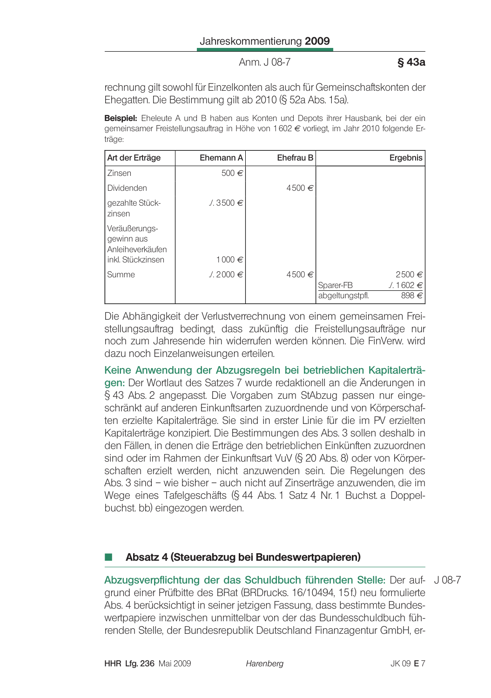Anm. J 08-7

#### §43a

rechnung gilt sowohl für Einzelkonten als auch für Gemeinschaftskonten der Ehegatten. Die Bestimmung gilt ab 2010 (§ 52a Abs. 15a).

Beispiel: Eheleute A und B haben aus Konten und Depots ihrer Hausbank, bei der ein gemeinsamer Freistellungsauftrag in Höhe von 1602 € vorliegt, im Jahr 2010 folgende Erträge:

| Art der Erträge                                 | Ehemann A         | Ehefrau B | Ergebnis                                                  |
|-------------------------------------------------|-------------------|-----------|-----------------------------------------------------------|
| Zinsen                                          | 500€              |           |                                                           |
| Dividenden                                      |                   | 4500€     |                                                           |
| gezahlte Stück-<br>zinsen                       | $\angle 3500 \in$ |           |                                                           |
| Veräußerungs-<br>gewinn aus<br>Anleiheverkäufen |                   |           |                                                           |
| inkl. Stückzinsen                               | 1000€             |           |                                                           |
| Summe                                           | ∴ 2000 ∈          | 4500€     | 2500€<br>∴ 1602 ∈<br>Sparer-FB<br>898€<br>abgeltungstpfl. |

Die Abhängigkeit der Verlustverrechnung von einem gemeinsamen Freistellungsauftrag bedingt, dass zukünftig die Freistellungsaufträge nur noch zum Jahresende hin widerrufen werden können. Die FinVerw, wird dazu noch Einzelanweisungen erteilen.

Keine Anwendung der Abzugsregeln bei betrieblichen Kapitalerträgen: Der Wortlaut des Satzes 7 wurde redaktionell an die Änderungen in § 43 Abs. 2 angepasst. Die Vorgaben zum StAbzug passen nur eingeschränkt auf anderen Einkunftsarten zuzuordnende und von Körperschaften erzielte Kapitalerträge. Sie sind in erster Linie für die im PV erzielten Kapitalerträge konzipiert. Die Bestimmungen des Abs. 3 sollen deshalb in den Fällen, in denen die Erträge den betrieblichen Einkünften zuzuordnen sind oder im Rahmen der Einkunftsart VuV (§ 20 Abs. 8) oder von Körperschaften erzielt werden, nicht anzuwenden sein. Die Regelungen des Abs. 3 sind – wie bisher – auch nicht auf Zinserträge anzuwenden, die im Wege eines Tafelgeschäfts (§ 44 Abs. 1 Satz 4 Nr. 1 Buchst. a Doppelbuchst. bb) eingezogen werden.

### Absatz 4 (Steuerabzug bei Bundeswertpapieren)

Abzugsverpflichtung der das Schuldbuch führenden Stelle: Der auf- J 08-7 grund einer Prüfbitte des BRat (BRDrucks, 16/10494, 15f.) neu formulierte Abs. 4 berücksichtigt in seiner jetzigen Fassung, dass bestimmte Bundeswertpapiere inzwischen unmittelbar von der das Bundesschuldbuch führenden Stelle, der Bundesrepublik Deutschland Finanzagentur GmbH, er-